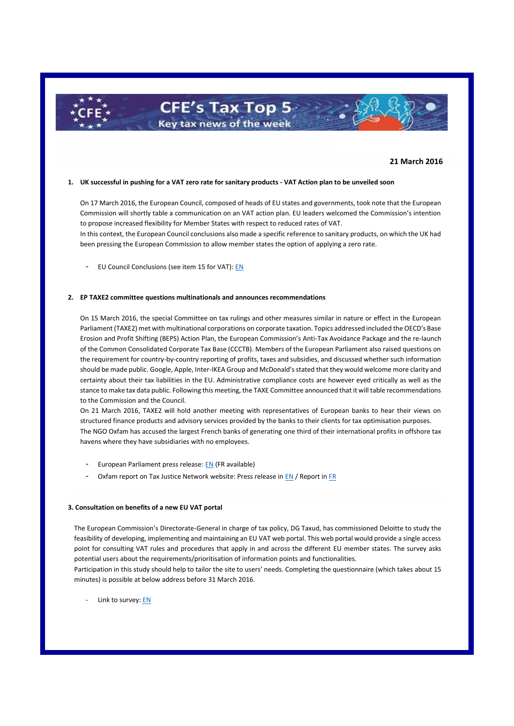# **21 March 2016**

#### **1. UK successful in pushing for a VAT zero rate for sanitary products - VAT Action plan to be unveiled soon**

**CFE's Tax Top 5-**Key tax news of the week

On 17 March 2016, the European Council, composed of heads of EU states and governments, took note that the European Commission will shortly table a communication on an VAT action plan. EU leaders welcomed the Commission's intention to propose increased flexibility for Member States with respect to reduced rates of VAT.

In this context, the European Council conclusions also made a specific reference to sanitary products, on which the UK had been pressing the European Commission to allow member states the option of applying a zero rate.

- EU Council Conclusions (see item 15 for VAT)[: EN](http://data.consilium.europa.eu/doc/document/ST-12-2016-REV-1/en/pdf)

# **2. EP TAXE2 committee questions multinationals and announces recommendations**

On 15 March 2016, the special Committee on tax rulings and other measures similar in nature or effect in the European Parliament (TAXE2) met with multinational corporations on corporate taxation. Topics addressed included the OECD's Base Erosion and Profit Shifting (BEPS) Action Plan, the European Commission's Anti-Tax Avoidance Package and the re-launch of the Common Consolidated Corporate Tax Base (CCCTB). Members of the European Parliament also raised questions on the requirement for country-by-country reporting of profits, taxes and subsidies, and discussed whether such information should be made public. Google, Apple, Inter-IKEA Group and McDonald's stated that they would welcome more clarity and certainty about their tax liabilities in the EU. Administrative compliance costs are however eyed critically as well as the stance to make tax data public. Following this meeting, the TAXE Committee announced that it will table recommendations to the Commission and the Council.

On 21 March 2016, TAXE2 will hold another meeting with representatives of European banks to hear their views on structured finance products and advisory services provided by the banks to their clients for tax optimisation purposes. The NGO Oxfam has accused the largest French banks of generating one third of their international profits in offshore tax havens where they have subsidiaries with no employees.

- European Parliament press release[: EN](http://www.europarl.europa.eu/news/en/news-room/20160314IPR19295/Google-Apple-IKEA-and-McDonalds-probed-by-Tax-Rulings-II-Committee) (FR available)
- Oxfam report on Tax Justice Network website: Press release i[n EN](http://www.taxjustice.net/2016/03/16/following-the-money-french-banks-activities-in-tax-havens/) / Report i[n FR](http://www.oxfamfrance.org/sites/default/files/communique_presse/rapport_final_sur_la_piste_des_banques_francaises.pdf)

### **3. Consultation on benefits of a new EU VAT portal**

The European Commission's Directorate-General in charge of tax policy, DG Taxud, has commissioned Deloitte to study the feasibility of developing, implementing and maintaining an EU VAT web portal. This web portal would provide a single access point for consulting VAT rules and procedures that apply in and across the different EU member states. The survey asks potential users about the requirements/prioritisation of information points and functionalities.

Participation in this study should help to tailor the site to users' needs. Completing the questionnaire (which takes about 15 minutes) is possible at below address before 31 March 2016.

Link to survey[: EN](https://ec.europa.eu/eusurvey/runner/VAT_Portal_UserSurvey)